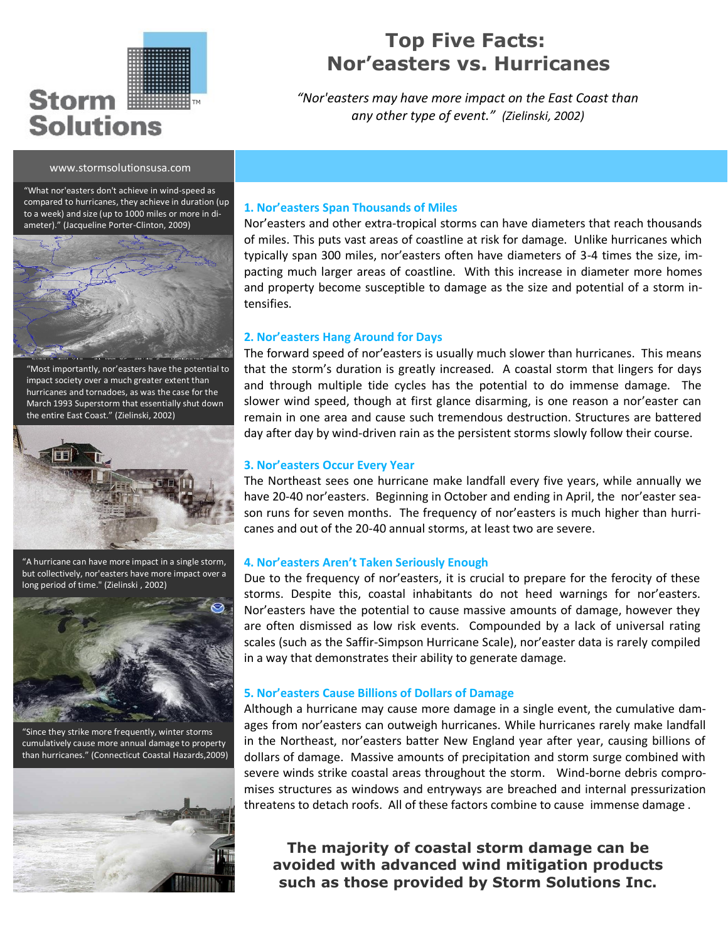# Storm I **Solutions**

TM

## **Top Five Facts: Nor'easters vs. Hurricanes**

*"Nor'easters may have more impact on the East Coast than any other type of event." (Zielinski, 2002)*

#### www.stormsolutionsusa.com

"What nor'easters don't achieve in wind-speed as compared to hurricanes, they achieve in duration (up to a week) and size (up to 1000 miles or more in diameter)." (Jacqueline Porter-Clinton, 2009)



"Most importantly, nor'easters have the potential to impact society over a much greater extent than hurricanes and tornadoes, as was the case for the March 1993 Superstorm that essentially shut down the entire East Coast." (Zielinski, 2002)



"A hurricane can have more impact in a single storm, but collectively, nor'easters have more impact over a long period of time." (Zielinski , 2002)



"Since they strike more frequently, winter storms cumulatively cause more annual damage to property than hurricanes." (Connecticut Coastal Hazards,2009)



#### **1. Nor'easters Span Thousands of Miles**

Nor'easters and other extra-tropical storms can have diameters that reach thousands of miles. This puts vast areas of coastline at risk for damage. Unlike hurricanes which typically span 300 miles, nor'easters often have diameters of 3-4 times the size, impacting much larger areas of coastline. With this increase in diameter more homes and property become susceptible to damage as the size and potential of a storm intensifies.

#### **2. Nor'easters Hang Around for Days**

The forward speed of nor'easters is usually much slower than hurricanes. This means that the storm's duration is greatly increased. A coastal storm that lingers for days and through multiple tide cycles has the potential to do immense damage. The slower wind speed, though at first glance disarming, is one reason a nor'easter can remain in one area and cause such tremendous destruction. Structures are battered day after day by wind-driven rain as the persistent storms slowly follow their course.

#### **3. Nor'easters Occur Every Year**

The Northeast sees one hurricane make landfall every five years, while annually we have 20-40 nor'easters. Beginning in October and ending in April, the nor'easter season runs for seven months. The frequency of nor'easters is much higher than hurricanes and out of the 20-40 annual storms, at least two are severe.

#### **4. Nor'easters Aren't Taken Seriously Enough**

Due to the frequency of nor'easters, it is crucial to prepare for the ferocity of these storms. Despite this, coastal inhabitants do not heed warnings for nor'easters. Nor'easters have the potential to cause massive amounts of damage, however they are often dismissed as low risk events. Compounded by a lack of universal rating scales (such as the Saffir-Simpson Hurricane Scale), nor'easter data is rarely compiled in a way that demonstrates their ability to generate damage.

#### **5. Nor'easters Cause Billions of Dollars of Damage**

Although a hurricane may cause more damage in a single event, the cumulative damages from nor'easters can outweigh hurricanes. While hurricanes rarely make landfall in the Northeast, nor'easters batter New England year after year, causing billions of dollars of damage. Massive amounts of precipitation and storm surge combined with severe winds strike coastal areas throughout the storm. Wind-borne debris compromises structures as windows and entryways are breached and internal pressurization threatens to detach roofs. All of these factors combine to cause immense damage .

**The majority of coastal storm damage can be avoided with advanced wind mitigation products such as those provided by Storm Solutions Inc.**